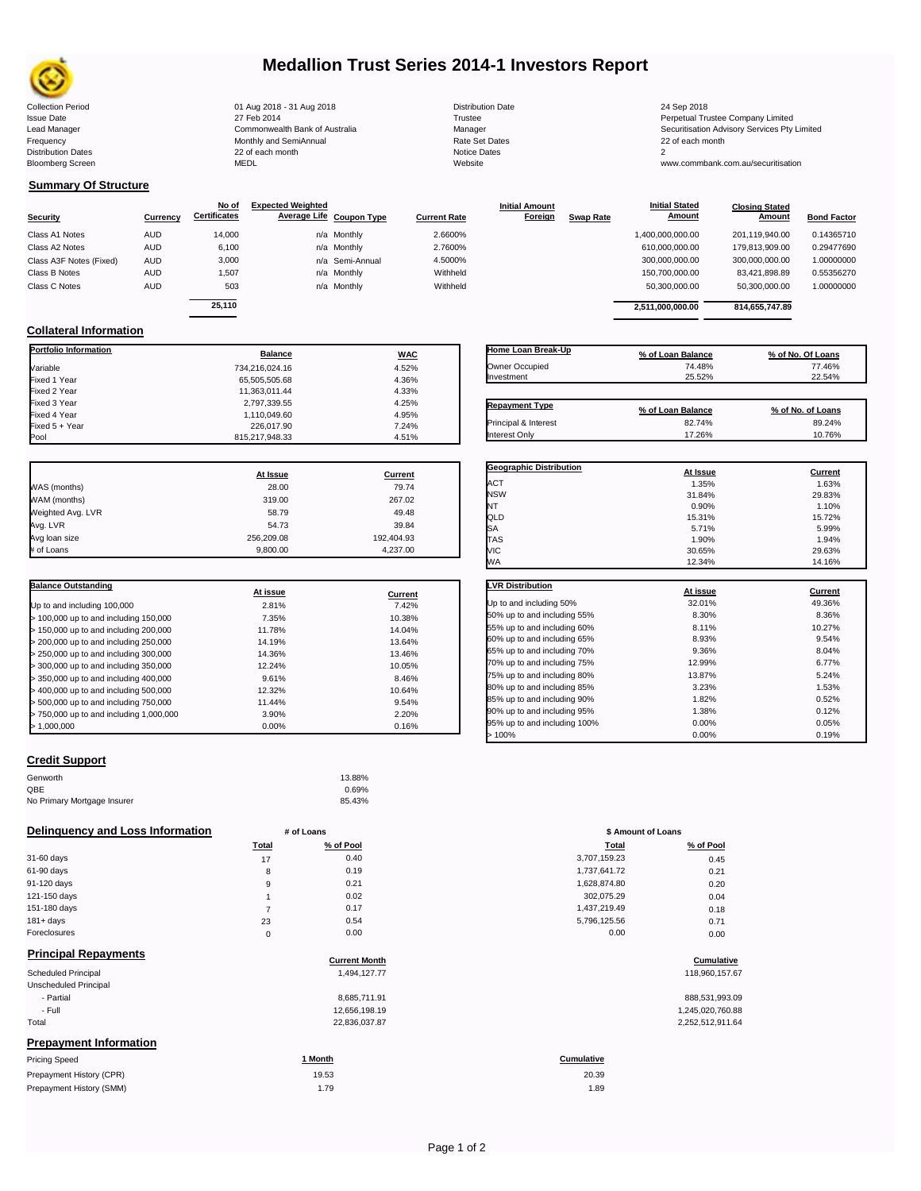

## **Medallion Trust Series 2014-1 Investors Report**

Collection Period 24 Sep 2018 01 Aug 2018 - 31 Aug 2018 2018 Distribution Date 24 Sep 2018 24 Sep 2018

Frequency Communication Communication Monthly and SemiAnnual Communication Communication Communication Communication Communication Communication Communication Communication Communication Communication Communication Communi n and the continuum continuum continuum continuum continuum continuum continuum continuum continuum continuum c<br>
22 of each month 2<br>
MEDL Website Website Bloomberg Screen MEDL Website www.commbank.com.au/securitisation

1,110,049.60 4.95%<br>226,017.90 7.24%

| <b>Distribution Date</b> |
|--------------------------|
| Trustee                  |
| Manager                  |
| Rate Set Dates           |
| Notice Dates             |
| Website                  |

Issue Date 2014 27 Feb 2014 27 Feb 2014<br>1991 - Perpetual Trustee Company Limited 2015<br>20 Apple 2015 - Commonwealth Bank of Australia 2016 - Manager Manager 2016 - Securitisation Advisory Services Lead Manager **Commonwealth Bank of Australia** Manager Manager Securitisation Advisory Services Pty Limited

### **Summary Of Structure**

**Collateral Information**

|                         |            | No of               | <b>Expected Weighted</b> |                     | <b>Initial Amount</b> |                  | <b>Initial Stated</b> | <b>Closing Stated</b> |                    |
|-------------------------|------------|---------------------|--------------------------|---------------------|-----------------------|------------------|-----------------------|-----------------------|--------------------|
| <b>Security</b>         | Currency   | <b>Certificates</b> | Average Life Coupon Type | <b>Current Rate</b> | Foreign               | <b>Swap Rate</b> | <b>Amount</b>         | Amount                | <b>Bond Factor</b> |
| Class A1 Notes          | <b>AUD</b> | 14.000              | n/a Monthly              | 2.6600%             |                       |                  | 1,400,000,000.00      | 201.119.940.00        | 0.14365710         |
| Class A2 Notes          | <b>AUD</b> | 6,100               | n/a Monthly              | 2.7600%             |                       |                  | 610,000,000.00        | 179.813.909.00        | 0.29477690         |
| Class A3F Notes (Fixed) | <b>AUD</b> | 3,000               | n/a Semi-Annual          | 4.5000%             |                       |                  | 300,000,000.00        | 300,000,000.00        | 1.00000000         |
| Class B Notes           | <b>AUD</b> | 1.507               | n/a Monthly              | Withheld            |                       |                  | 150,700,000.00        | 83.421.898.89         | 0.55356270         |
| Class C Notes           | <b>AUD</b> | 503                 | n/a Monthly              | Withheld            |                       |                  | 50,300,000.00         | 50,300,000.00         | 1.00000000         |
|                         |            | 25.110              |                          |                     |                       |                  | 2,511,000,000.00      | 814,655,747.89        |                    |

**Portfolio Information Balance WAC** Variable 734,216,024.16 4.52% Fixed 1 Year 65,505,505.68 4.36% Fixed 2 Year 11,363,011.44 4.33% Fixed 3 Year 2,797,339.55 4.25%

Fixed 5 + Year 24% 226,017.90 226,017.90 226,017.90 226,017.90 226,017.90 226,017.90 226,017.90 226,017.90 226

815,217,948.33

| Home Loan Break-Up    | % of Loan Balance | % of No. Of Loans |
|-----------------------|-------------------|-------------------|
| Owner Occupied        | 74.48%            | 77.46%            |
| Investment            | 25.52%            | 22.54%            |
|                       |                   |                   |
|                       |                   |                   |
| <b>Repayment Type</b> | % of Loan Balance | % of No. of Loans |
| Principal & Interest  | 82.74%            | 89.24%            |

**Geographic Distribution**<br> **ACT ACT ACT ACT ACT ACT ACT ACT ACT ACT ACT ACT ACT ACT ACT ACT ACT ACT ACT ACT ACT ACT ACT ACT ACT ACT ACT** ACT 1.35% 1.63% NSW 31.84% 29.83% NT  $0.90\%$  1.10% QLD 15.31% 15.72%  $S$ A 5.99% 5.71% 5.99%

**Initial Stated** 

|                   | At Issue   | Current    |
|-------------------|------------|------------|
| WAS (months)      | 28.00      | 79.74      |
| WAM (months)      | 319.00     | 267.02     |
| Weighted Avg. LVR | 58.79      | 49.48      |
| Avg. LVR          | 54.73      | 39.84      |
| Avg loan size     | 256.209.08 | 192,404.93 |
| # of Loans        | 9.800.00   | 4.237.00   |

| <b>Balance Outstanding</b>              | At issue | Current |
|-----------------------------------------|----------|---------|
| Up to and including 100,000             | 2.81%    | 7.42%   |
| > 100,000 up to and including 150,000   | 7.35%    | 10.38%  |
| > 150,000 up to and including 200,000   | 11.78%   | 14.04%  |
| > 200,000 up to and including 250,000   | 14.19%   | 13.64%  |
| > 250,000 up to and including 300,000   | 14.36%   | 13.46%  |
| > 300,000 up to and including 350,000   | 12.24%   | 10.05%  |
| > 350,000 up to and including 400,000   | 9.61%    | 8.46%   |
| > 400,000 up to and including 500,000   | 12.32%   | 10.64%  |
| > 500,000 up to and including 750,000   | 11.44%   | 9.54%   |
| > 750,000 up to and including 1,000,000 | 3.90%    | 2.20%   |
| > 1.000.000                             | 0.00%    | 0.16%   |

## **Credit Support**

| Genworth                    | 13.88% |
|-----------------------------|--------|
| QBE                         | 0.69%  |
| No Primary Mortgage Insurer | 85.43% |

#### **Delinquency and Loss Information # of Loans**

|                                   | <b>Total</b> | % of Pool | Total        | % of Pool |
|-----------------------------------|--------------|-----------|--------------|-----------|
| 31-60 days                        | 17           | 0.40      | 3,707,159.23 | 0.45      |
| 61-90 days                        | 8            | 0.19      | 1,737,641.72 | 0.21      |
| 91-120 days                       | 9            | 0.21      | 1,628,874.80 | 0.20      |
| 121-150 days                      |              | 0.02      | 302,075.29   | 0.04      |
| 151-180 days                      |              | 0.17      | 1,437,219.49 | 0.18      |
| $181 + days$                      | 23           | 0.54      | 5,796,125.56 | 0.71      |
| Foreclosures                      | 0            | 0.00      | 0.00         | 0.00      |
| Believe the all Distances contact |              |           |              |           |

| <b>Principal Repayments</b>   | <b>Current Month</b> | Cumulative        |
|-------------------------------|----------------------|-------------------|
| Scheduled Principal           | 1,494,127.77         | 118,960,157.67    |
| Unscheduled Principal         |                      |                   |
| - Partial                     | 8.685.711.91         | 888,531,993.09    |
| - Full                        | 12,656,198.19        | 1,245,020,760.88  |
| Total                         | 22,836,037.87        | 2,252,512,911.64  |
| <b>Prepayment Information</b> |                      |                   |
| <b>Pricing Speed</b>          | 1 Month              | <b>Cumulative</b> |

| Prepayment History (CPR) | 19.53 | 20.39 |
|--------------------------|-------|-------|
| Prepayment History (SMM) | 1.79  | 1.89  |

| <b>TAS</b>                   | 1.90%    | 1.94%   |
|------------------------------|----------|---------|
| VIC                          | 30.65%   | 29.63%  |
| WA                           | 12.34%   | 14.16%  |
|                              |          |         |
| <b>LVR Distribution</b>      | At issue | Current |
| Up to and including 50%      | 32.01%   | 49.36%  |
| 50% up to and including 55%  | 8.30%    | 8.36%   |
| 55% up to and including 60%  | 8.11%    | 10.27%  |
| 60% up to and including 65%  | 8.93%    | 9.54%   |
| 65% up to and including 70%  | 9.36%    | 8.04%   |
| 70% up to and including 75%  | 12.99%   | 6.77%   |
| 75% up to and including 80%  | 13.87%   | 5.24%   |
| 80% up to and including 85%  | 3.23%    | 1.53%   |
| 85% up to and including 90%  | 1.82%    | 0.52%   |
| 90% up to and including 95%  | 1.38%    | 0.12%   |
| 95% up to and including 100% | 0.00%    | 0.05%   |
| >100%                        | 0.00%    | 0.19%   |

| # of Loans  |           | \$ Amount of Loans |           |
|-------------|-----------|--------------------|-----------|
| Total       | % of Pool | Total              | % of Pool |
| 17          | 0.40      | 3,707,159.23       | 0.45      |
| 8           | 0.19      | 1,737,641.72       | 0.21      |
| 9           | 0.21      | 1,628,874.80       | 0.20      |
| 1           | 0.02      | 302,075.29         | 0.04      |
| 7           | 0.17      | 1,437,219.49       | 0.18      |
| 23          | 0.54      | 5,796,125.56       | 0.71      |
| $\mathbf 0$ | 0.00      | 0.00               | 0.00      |

# **Cumulative Cumulative**

20.39